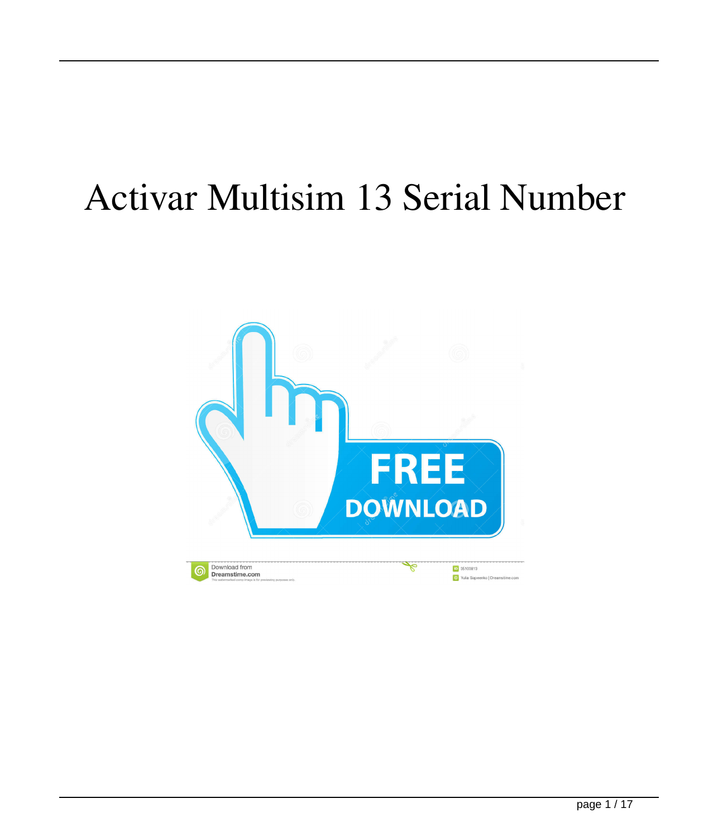## Activar Multisim 13 Serial Number

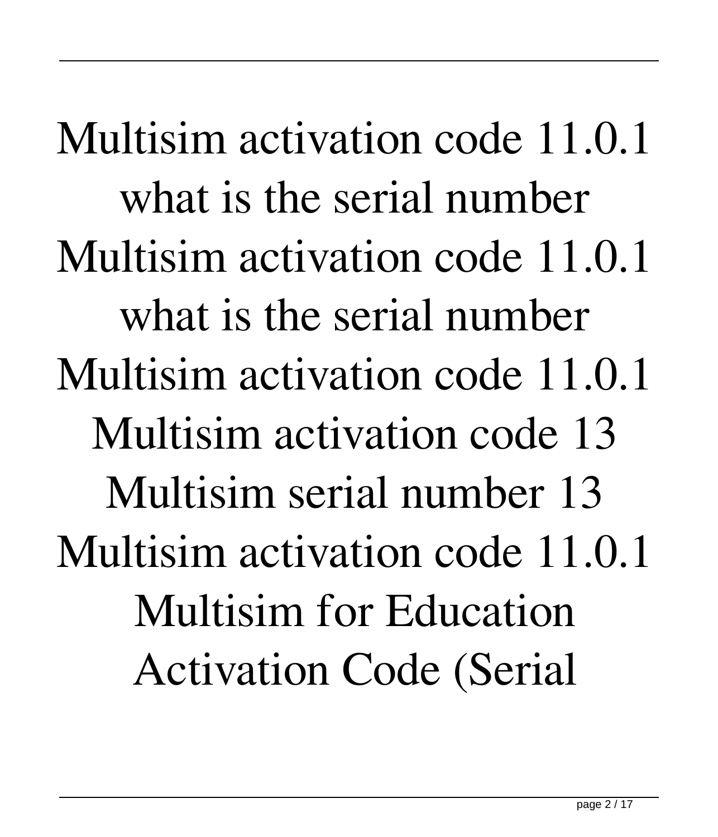Multisim activation code 11.0.1 what is the serial number Multisim activation code 11.0.1 what is the serial number Multisim activation code 11.0.1 Multisim activation code 13 Multisim serial number 13 Multisim activation code 11.0.1 Multisim for Education Activation Code (Serial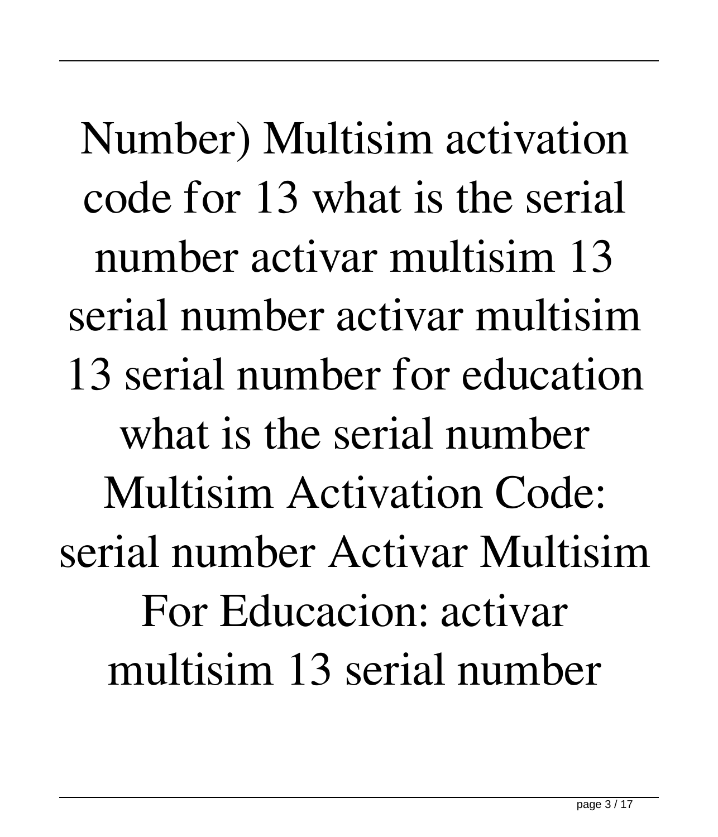Number) Multisim activation code for 13 what is the serial number activar multisim 13 serial number activar multisim 13 serial number for education what is the serial number Multisim Activation Code: serial number Activar Multisim For Educacion: activar multisim 13 serial number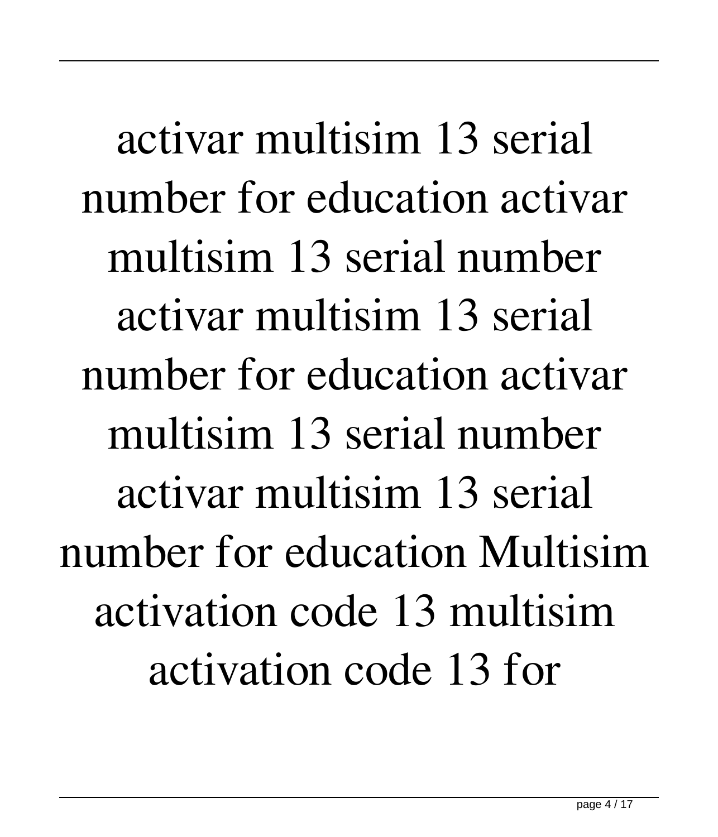activar multisim 13 serial number for education activar multisim 13 serial number activar multisim 13 serial number for education activar multisim 13 serial number activar multisim 13 serial number for education Multisim activation code 13 multisim activation code 13 for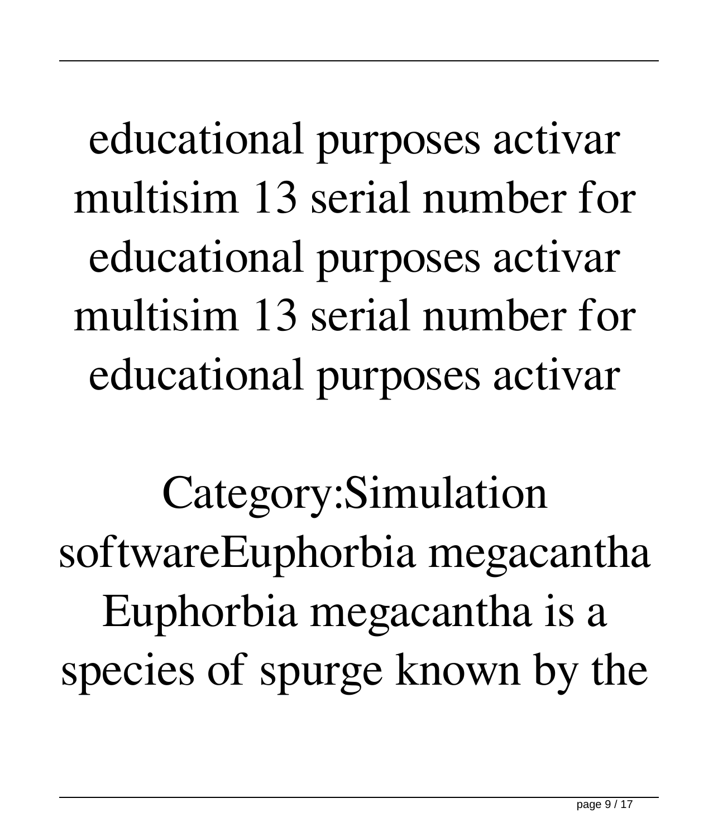educational purposes activar multisim 13 serial number for educational purposes activar multisim 13 serial number for educational purposes activar

Category:Simulation softwareEuphorbia megacantha Euphorbia megacantha is a species of spurge known by the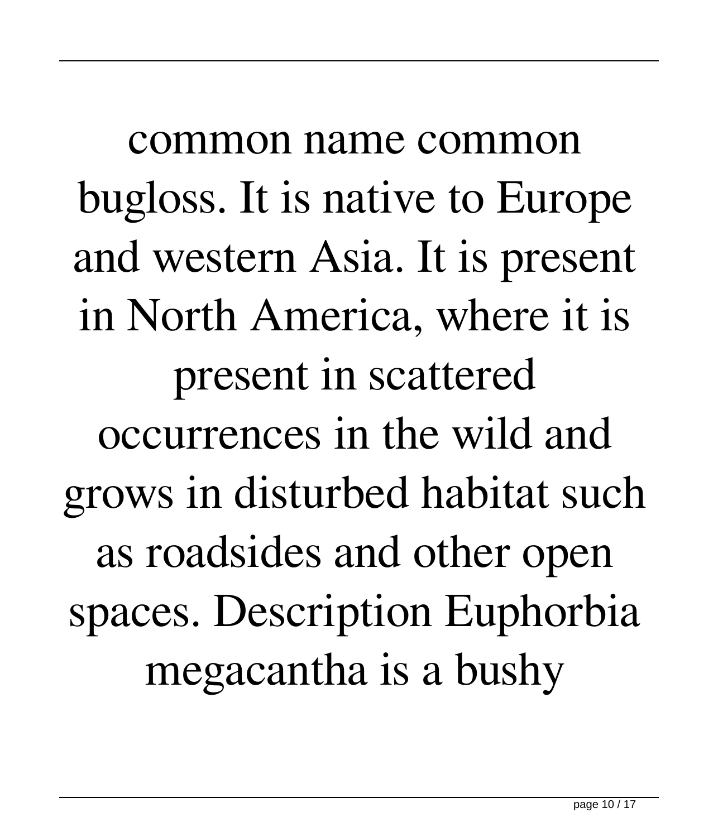common name common bugloss. It is native to Europe and western Asia. It is present in North America, where it is present in scattered occurrences in the wild and grows in disturbed habitat such as roadsides and other open spaces. Description Euphorbia megacantha is a bushy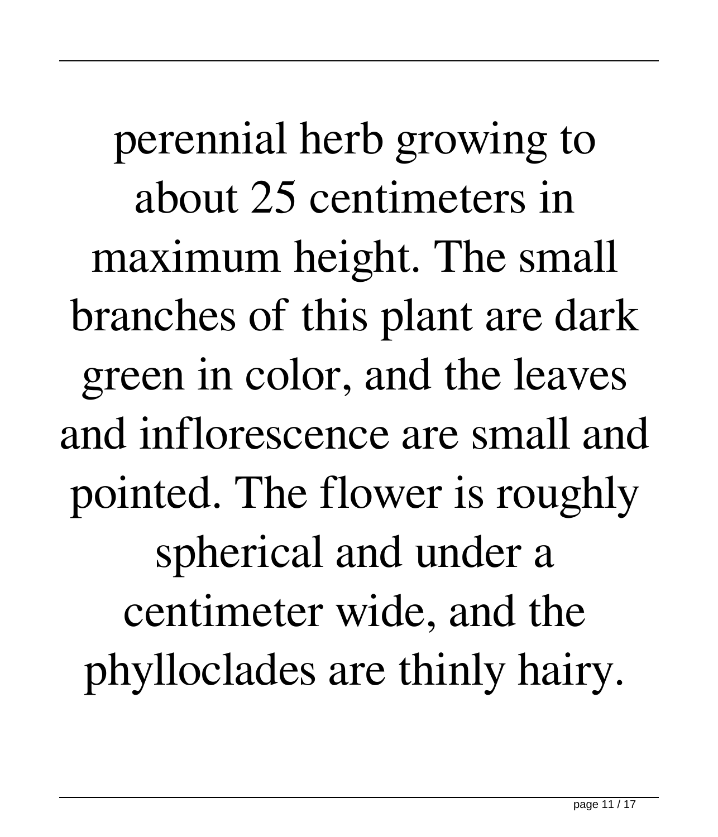perennial herb growing to about 25 centimeters in maximum height. The small branches of this plant are dark green in color, and the leaves and inflorescence are small and pointed. The flower is roughly spherical and under a centimeter wide, and the phylloclades are thinly hairy.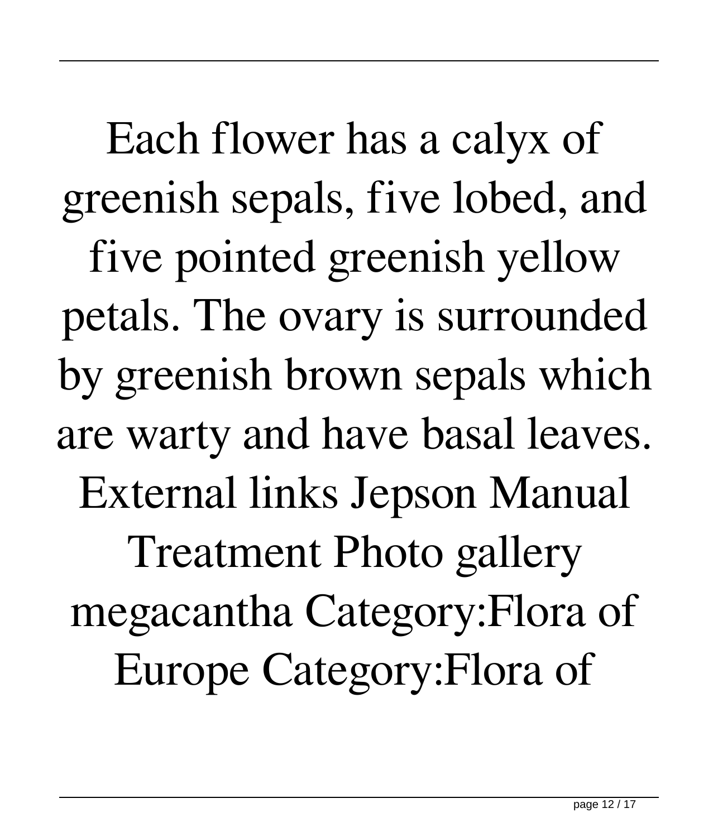Each flower has a calyx of greenish sepals, five lobed, and five pointed greenish yellow petals. The ovary is surrounded by greenish brown sepals which are warty and have basal leaves. External links Jepson Manual Treatment Photo gallery megacantha Category:Flora of Europe Category:Flora of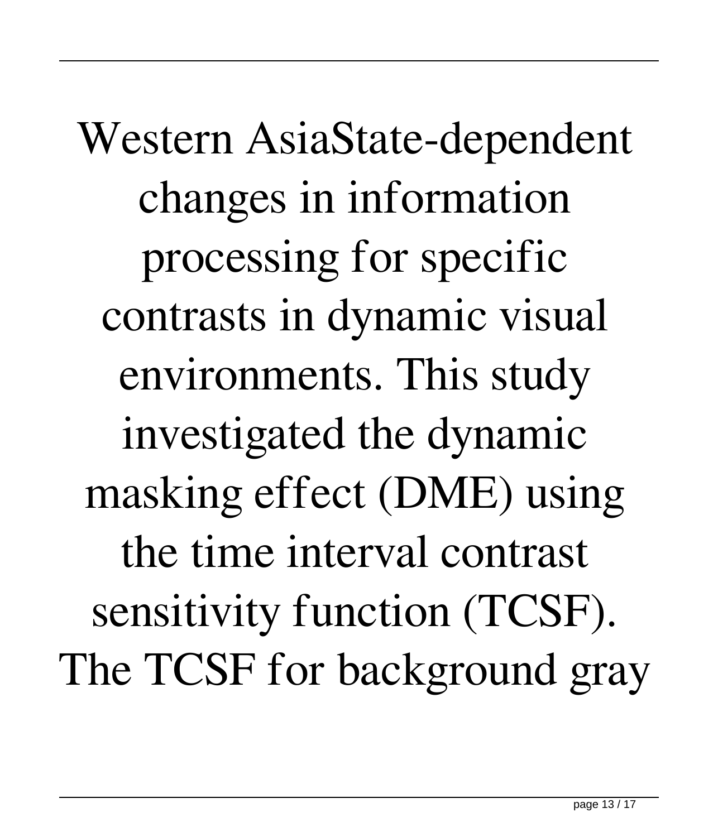Western AsiaState-dependent changes in information processing for specific contrasts in dynamic visual environments. This study investigated the dynamic masking effect (DME) using the time interval contrast sensitivity function (TCSF). The TCSF for background gray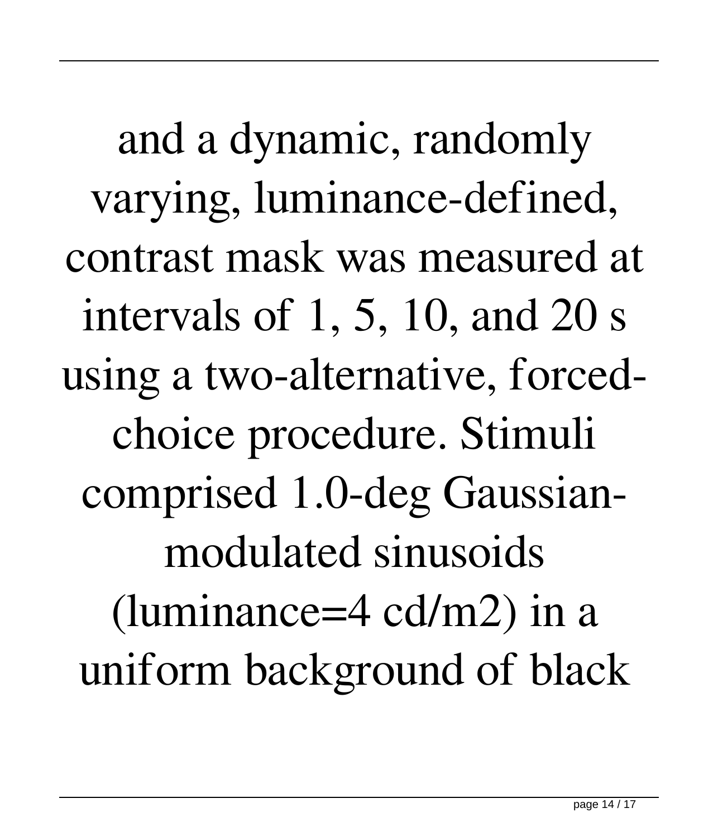and a dynamic, randomly varying, luminance-defined, contrast mask was measured at intervals of 1, 5, 10, and 20 s using a two-alternative, forcedchoice procedure. Stimuli comprised 1.0-deg Gaussianmodulated sinusoids (luminance=4 cd/m2) in a uniform background of black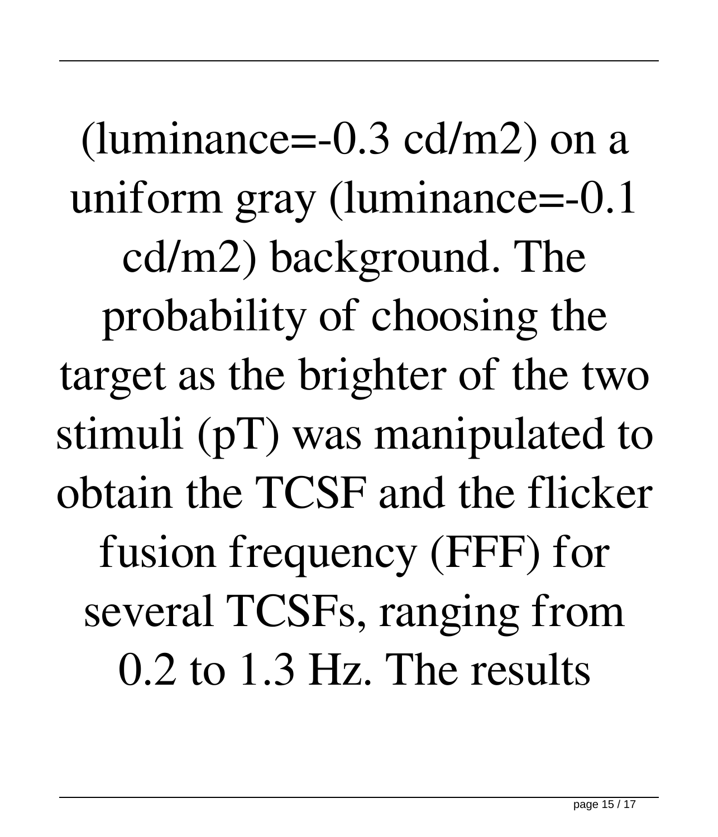(luminance= $-0.3$  cd/m2) on a uniform gray (luminance=-0.1 cd/m2) background. The probability of choosing the target as the brighter of the two stimuli (pT) was manipulated to obtain the TCSF and the flicker fusion frequency (FFF) for several TCSFs, ranging from 0.2 to 1.3 Hz. The results